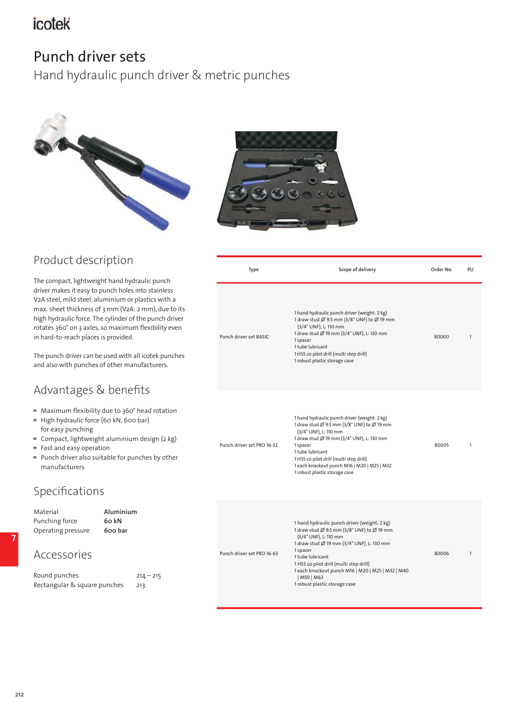# icotek

## Punch driver sets

Hand hydraulic punch driver & metric punches





## Product description

The compact, lightweight hand hydraulic punch driver makes it easy to punch holes into stainless V2A steel, mild steel, aluminium or plastics with a max. sheet thickness of 3 mm (V2A: 2 mm), due to its high hydraulic force. The cylinder of the punch driver rotates 360° on 3 axles, so maximum flexibility even in hard-to-reach places is provided.

The punch driver can be used with all icotek punches and also with punches of other manufacturers.

### Advantages & benefits

- Maximum flexibility due to 360° head rotation
- ▀ High hydraulic force (60 kN, 600 bar) for easy punching
- Compact, lightweight aluminium design (2 kg)
- Fast and easy operation
- Punch driver also suitable for punches by other manufacturers

### Specifications

| Aluminium<br>Material<br>Punching force<br>60 kN<br>Operating pressure<br>600 bar<br>Accessories |                    |                            | 1 hand hydraulic punch driver (weight: 2 kg)<br>1 draw stud Ø 9.5 mm (3/8" UNF) to Ø 19 mm<br>(3/4" UNF), L: 110 mm<br>1 draw stud Ø 19 mm (3/4" UNF), L: 130 mm |       |  |
|--------------------------------------------------------------------------------------------------|--------------------|----------------------------|------------------------------------------------------------------------------------------------------------------------------------------------------------------|-------|--|
|                                                                                                  |                    | Punch driver set PRO 16-63 | 1 spacer<br>1 tube lubricant<br>1 HSS co pilot drill (multi step drill)                                                                                          | 80006 |  |
| Round punches<br>Rectangular & square punches                                                    | $214 - 215$<br>213 |                            | 1 each knockout punch M16   M20   M25   M32   M40<br>  M50   M63<br>1 robust plastic storage case                                                                |       |  |

| Type                       | Scope of delivery                                                                                                                                                                                                                                                                                                           | Order No. | PU |
|----------------------------|-----------------------------------------------------------------------------------------------------------------------------------------------------------------------------------------------------------------------------------------------------------------------------------------------------------------------------|-----------|----|
| Punch driver set BASIC     | 1 hand hydraulic punch driver (weight: 2 kg)<br>1 draw stud Ø 9.5 mm (3/8" UNF) to Ø 19 mm<br>(3/4" UNF), L: 110 mm<br>1 draw stud Ø 19 mm (3/4" UNF), L: 130 mm<br>1 spacer<br>1 tube lubricant<br>1 HSS co pilot drill (multi step drill)<br>1 robust plastic storage case                                                | 80000     | 1  |
| Punch driver set PRO 16-32 | 1 hand hydraulic punch driver (weight: 2 kg)<br>1 draw stud Ø 9.5 mm (3/8" UNF) to Ø 19 mm<br>(3/4" UNF), L: 110 mm<br>1 draw stud Ø 19 mm (3/4" UNF), L: 130 mm<br>1 spacer<br>1 tube lubricant<br>1 HSS co pilot drill (multi step drill)<br>1 each knockout punch M16   M20   M25   M32<br>1 robust plastic storage case | 80005     | 1  |
|                            |                                                                                                                                                                                                                                                                                                                             |           |    |

**7**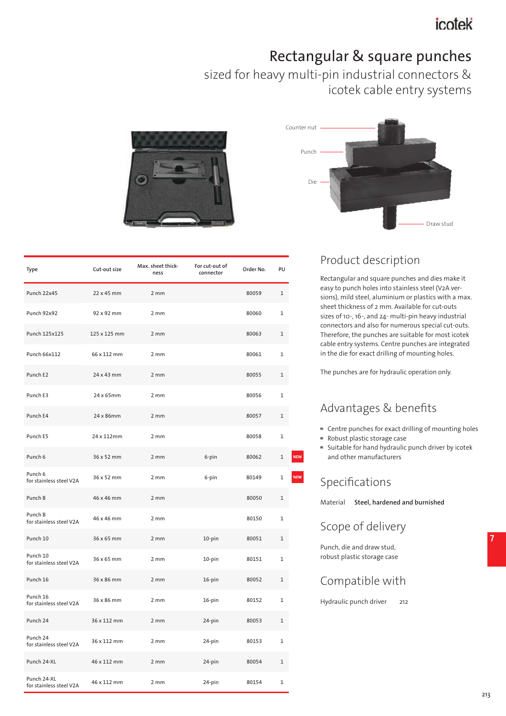# Rectangular & square punches

sized for heavy multi-pin industrial connectors & icotek cable entry systems





Rectangular and square punches and dies make it easy to punch holes into stainless steel (V2A versions), mild steel, aluminium or plastics with a max. sheet thickness of 2 mm. Available for cut-outs sizes of 10-, 16-, and 24- multi-pin heavy industrial connectors and also for numerous special cut-outs. Therefore, the punches are suitable for most icotek cable entry systems. Centre punches are integrated in the die for exact drilling of mounting holes.

The punches are for hydraulic operation only.

## Advantages & benefits

- Centre punches for exact drilling of mounting holes
- Robust plastic storage case
- Suitable for hand hydraulic punch driver by icotek and other manufacturers

## Specifications

Material **Steel, hardened and burnished**

### Scope of delivery

Punch, die and draw stud, robust plastic storage case

#### Compatible with

Hydraulic punch driver 212



| Type                                   | Cut-out size | Max. sheet thick-<br>ness | For cut-out of<br>connector | Order No. | PU           |
|----------------------------------------|--------------|---------------------------|-----------------------------|-----------|--------------|
| Punch 22x45                            | 22 x 45 mm   | 2 mm                      |                             | 80059     | $\mathbf{1}$ |
| Punch 92x92                            | 92 x 92 mm   | 2mm                       |                             | 80060     | $\mathbf{1}$ |
| Punch 125x125                          | 125 x 125 mm | 2 mm                      |                             | 80063     | 1            |
| Punch 66x112                           | 66 x 112 mm  | 2 mm                      |                             | 80061     | $\mathbf 1$  |
| Punch E2                               | 24 x 43 mm   | 2 mm                      |                             | 80055     | $\mathbf{1}$ |
| Punch E3                               | 24 x 65mm    | $2 \, \text{mm}$          |                             | 80056     | $\mathbf 1$  |
| Punch E4                               | 24 x 86mm    | 2 mm                      |                             | 80057     | $\mathbf{1}$ |
| Punch E5                               | 24 x 112mm   | 2mm                       |                             | 80058     | $\mathbf 1$  |
| Punch 6                                | 36 x 52 mm   | 2mm                       | 6-pin                       | 80062     | $\mathbf 1$  |
| Punch 6<br>for stainless steel V2A     | 36 x 52 mm   | 2mm                       | 6-pin                       | 80149     | $\mathbf 1$  |
| Punch B                                | 46 x 46 mm   | 2 mm                      |                             | 80050     | $\mathbf 1$  |
| Punch B<br>for stainless steel V2A     | 46 x 46 mm   | 2 mm                      |                             | 80150     | $\mathbf 1$  |
| Punch 10                               | 36 x 65 mm   | 2 mm                      | 10-pin                      | 80051     | $\mathbf{1}$ |
| Punch 10<br>for stainless steel V2A    | 36 x 65 mm   | 2 mm                      | 10-pin                      | 80151     | $\mathbf 1$  |
| Punch 16                               | 36 x 86 mm   | 2 mm                      | 16-pin                      | 80052     | $\mathbf{1}$ |
| Punch 16<br>for stainless steel V2A    | 36 x 86 mm   | 2 mm                      | 16-pin                      | 80152     | $\mathbf{1}$ |
| Punch 24                               | 36 x 112 mm  | 2 mm                      | 24-pin                      | 80053     | $\mathbf{1}$ |
| Punch 24<br>for stainless steel V2A    | 36 x 112 mm  | 2 mm                      | 24-pin                      | 80153     | $\mathbf 1$  |
| Punch 24-XL                            | 46 x 112 mm  | 2 mm                      | 24-pin                      | 80054     | $\mathbf 1$  |
| Punch 24-XL<br>for stainless steel V2A | 46 x 112 mm  | 2 mm                      | 24-pin                      | 80154     | $\mathbf 1$  |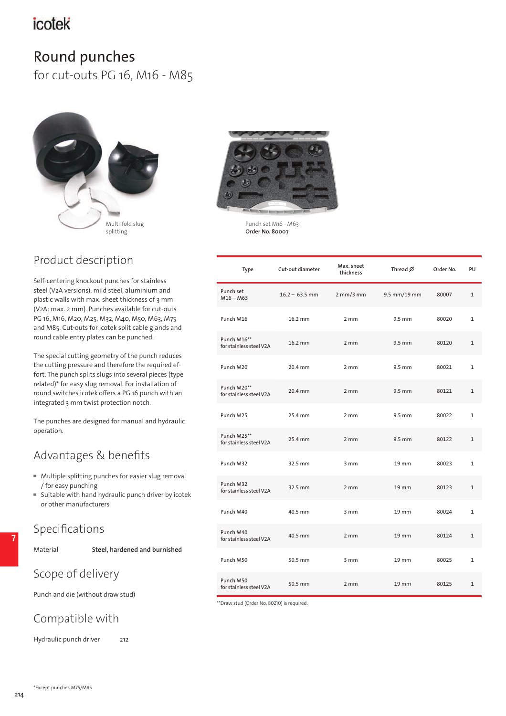# icotek

# Round punches

for cut-outs PG 16, M16 - M85



## Product description

Self-centering knockout punches for stainless steel (V2A versions), mild steel, aluminium and plastic walls with max. sheet thickness of 3 mm (V2A: max. 2 mm). Punches available for cut-outs PG 16, M16, M20, M25, M32, M40, M50, M63, M75 and M85. Cut-outs for icotek split cable glands and round cable entry plates can be punched.

The special cutting geometry of the punch reduces the cutting pressure and therefore the required effort. The punch splits slugs into several pieces (type related)\* for easy slug removal. For installation of round switches icotek offers a PG 16 punch with an integrated 3 mm twist protection notch.

The punches are designed for manual and hydraulic operation.

## Advantages & benefits

- Multiple splitting punches for easier slug removal / for easy punching
- Suitable with hand hydraulic punch driver by icotek or other manufacturers

#### Specifications

**7**

Material **Steel, hardened and burnished**

### Scope of delivery

Punch and die (without draw stud)

### Compatible with

Hydraulic punch driver 212



Punch set M16 - M63 **Order No. 80007**

| Type                                   | Cut-out diameter | Max. sheet<br>thickness     | Thread $\emptyset$ | Order No. | PU           |
|----------------------------------------|------------------|-----------------------------|--------------------|-----------|--------------|
| Punch set<br>$M16 - M63$               | $16.2 - 63.5$ mm | $2 \text{ mm}/3 \text{ mm}$ | 9.5 mm/19 mm       | 80007     | $\mathbf{1}$ |
| Punch M16                              | 16.2 mm          | $2 \, \text{mm}$            | 9.5 mm             | 80020     | 1            |
| Punch M16**<br>for stainless steel V2A | 16.2 mm          | 2 mm                        | 9.5 mm             | 80120     | $\mathbf{1}$ |
| Punch M20                              | 20.4 mm          | 2mm                         | 9.5 mm             | 80021     | 1            |
| Punch M20**<br>for stainless steel V2A | 20.4 mm          | $2 \, \text{mm}$            | $9.5$ mm           | 80121     | $\mathbf{1}$ |
| Punch M25                              | 25.4 mm          | $2 \, \text{mm}$            | $9.5$ mm           | 80022     | 1            |
| Punch M25**<br>for stainless steel V2A | 25.4 mm          | $2 \, \text{mm}$            | $9.5 \text{ mm}$   | 80122     | $\mathbf{1}$ |
| Punch M32                              | 32.5 mm          | 3 mm                        | $19$ mm            | 80023     | 1            |
| Punch M32<br>for stainless steel V2A   | 32.5 mm          | 2mm                         | $19$ mm            | 80123     | $\mathbf{1}$ |
| Punch M40                              | 40.5 mm          | 3mm                         | $19 \, \text{mm}$  | 80024     | $\mathbf{1}$ |
| Punch M40<br>for stainless steel V2A   | 40.5 mm          | 2mm                         | 19 mm              | 80124     | $\mathbf{1}$ |
| Punch M50                              | 50.5 mm          | 3 mm                        | $19$ mm            | 80025     | $\mathbf{1}$ |
| Punch M50<br>for stainless steel V2A   | 50.5 mm          | 2mm                         | $19 \, \text{mm}$  | 80125     | $\mathbf{1}$ |

\*\*Draw stud (Order No. 80210) is required.